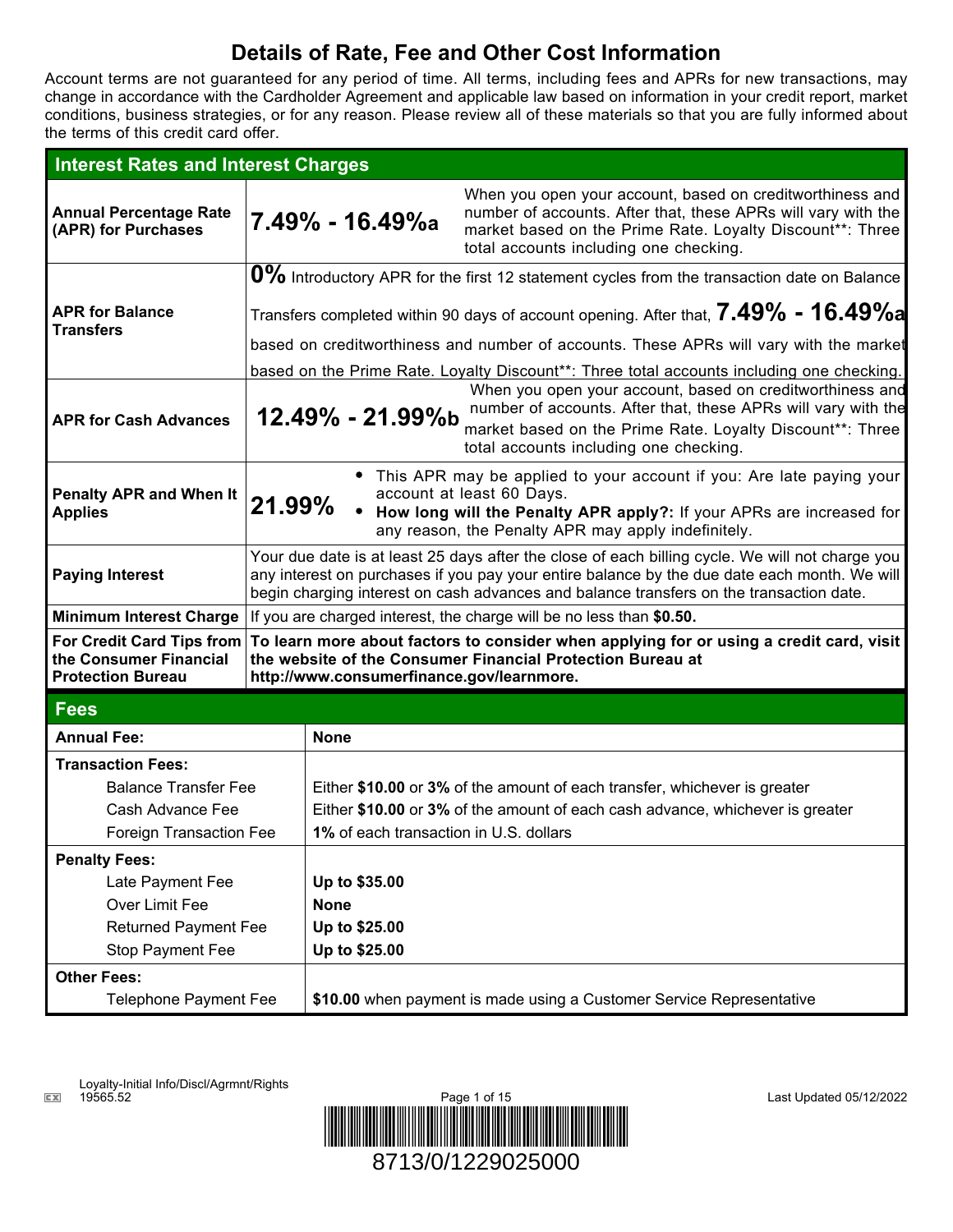# **Details of Rate, Fee and Other Cost Information**

Account terms are not guaranteed for any period of time. All terms, including fees and APRs for new transactions, may change in accordance with the Cardholder Agreement and applicable law based on information in your credit report, market conditions, business strategies, or for any reason. Please review all of these materials so that you are fully informed about the terms of this credit card offer.

| <b>Interest Rates and Interest Charges</b>                                                                    |                                                                                                                                                                                                                                                                                            |                                                                                                                                                                                                             |                                                                                                                                                                                                                                                                                                                                |  |
|---------------------------------------------------------------------------------------------------------------|--------------------------------------------------------------------------------------------------------------------------------------------------------------------------------------------------------------------------------------------------------------------------------------------|-------------------------------------------------------------------------------------------------------------------------------------------------------------------------------------------------------------|--------------------------------------------------------------------------------------------------------------------------------------------------------------------------------------------------------------------------------------------------------------------------------------------------------------------------------|--|
| <b>Annual Percentage Rate</b><br>(APR) for Purchases                                                          |                                                                                                                                                                                                                                                                                            | 7.49% - 16.49%a                                                                                                                                                                                             | When you open your account, based on creditworthiness and<br>number of accounts. After that, these APRs will vary with the<br>market based on the Prime Rate. Loyalty Discount**: Three<br>total accounts including one checking.                                                                                              |  |
|                                                                                                               | $0\%$ Introductory APR for the first 12 statement cycles from the transaction date on Balance                                                                                                                                                                                              |                                                                                                                                                                                                             |                                                                                                                                                                                                                                                                                                                                |  |
| <b>APR for Balance</b><br><b>Transfers</b>                                                                    | Transfers completed within 90 days of account opening. After that, $7.49\%$ - $16.49\%$ a                                                                                                                                                                                                  |                                                                                                                                                                                                             |                                                                                                                                                                                                                                                                                                                                |  |
|                                                                                                               | based on creditworthiness and number of accounts. These APRs will vary with the market                                                                                                                                                                                                     |                                                                                                                                                                                                             |                                                                                                                                                                                                                                                                                                                                |  |
| <b>APR for Cash Advances</b>                                                                                  |                                                                                                                                                                                                                                                                                            | 12.49% - 21.99%b                                                                                                                                                                                            | based on the Prime Rate. Loyalty Discount**: Three total accounts including one checking.<br>When you open your account, based on creditworthiness and<br>number of accounts. After that, these APRs will vary with the<br>market based on the Prime Rate. Loyalty Discount**: Three<br>total accounts including one checking. |  |
| <b>Penalty APR and When It</b><br><b>Applies</b>                                                              | • This APR may be applied to your account if you: Are late paying your<br>account at least 60 Days.<br>21.99%<br>• How long will the Penalty APR apply?: If your APRs are increased for<br>any reason, the Penalty APR may apply indefinitely.                                             |                                                                                                                                                                                                             |                                                                                                                                                                                                                                                                                                                                |  |
| <b>Paying Interest</b>                                                                                        | Your due date is at least 25 days after the close of each billing cycle. We will not charge you<br>any interest on purchases if you pay your entire balance by the due date each month. We will<br>begin charging interest on cash advances and balance transfers on the transaction date. |                                                                                                                                                                                                             |                                                                                                                                                                                                                                                                                                                                |  |
| <b>Minimum Interest Charge</b>                                                                                | If you are charged interest, the charge will be no less than \$0.50.                                                                                                                                                                                                                       |                                                                                                                                                                                                             |                                                                                                                                                                                                                                                                                                                                |  |
| For Credit Card Tips from<br>the Consumer Financial<br><b>Protection Bureau</b>                               | To learn more about factors to consider when applying for or using a credit card, visit<br>the website of the Consumer Financial Protection Bureau at<br>http://www.consumerfinance.gov/learnmore.                                                                                         |                                                                                                                                                                                                             |                                                                                                                                                                                                                                                                                                                                |  |
| <b>Fees</b>                                                                                                   |                                                                                                                                                                                                                                                                                            |                                                                                                                                                                                                             |                                                                                                                                                                                                                                                                                                                                |  |
| <b>Annual Fee:</b>                                                                                            |                                                                                                                                                                                                                                                                                            | <b>None</b>                                                                                                                                                                                                 |                                                                                                                                                                                                                                                                                                                                |  |
| <b>Transaction Fees:</b><br><b>Balance Transfer Fee</b><br>Cash Advance Fee<br><b>Foreign Transaction Fee</b> |                                                                                                                                                                                                                                                                                            | Either \$10.00 or 3% of the amount of each transfer, whichever is greater<br>Either \$10.00 or 3% of the amount of each cash advance, whichever is greater<br><b>1%</b> of each transaction in U.S. dollars |                                                                                                                                                                                                                                                                                                                                |  |
| <b>Penalty Fees:</b>                                                                                          |                                                                                                                                                                                                                                                                                            |                                                                                                                                                                                                             |                                                                                                                                                                                                                                                                                                                                |  |
| Late Payment Fee                                                                                              |                                                                                                                                                                                                                                                                                            | Up to \$35.00                                                                                                                                                                                               |                                                                                                                                                                                                                                                                                                                                |  |
| Over Limit Fee                                                                                                |                                                                                                                                                                                                                                                                                            | <b>None</b>                                                                                                                                                                                                 |                                                                                                                                                                                                                                                                                                                                |  |
| <b>Returned Payment Fee</b>                                                                                   |                                                                                                                                                                                                                                                                                            | Up to \$25.00<br>Up to \$25.00                                                                                                                                                                              |                                                                                                                                                                                                                                                                                                                                |  |
| Stop Payment Fee<br><b>Other Fees:</b>                                                                        |                                                                                                                                                                                                                                                                                            |                                                                                                                                                                                                             |                                                                                                                                                                                                                                                                                                                                |  |
| <b>Telephone Payment Fee</b>                                                                                  |                                                                                                                                                                                                                                                                                            |                                                                                                                                                                                                             | \$10.00 when payment is made using a Customer Service Representative                                                                                                                                                                                                                                                           |  |

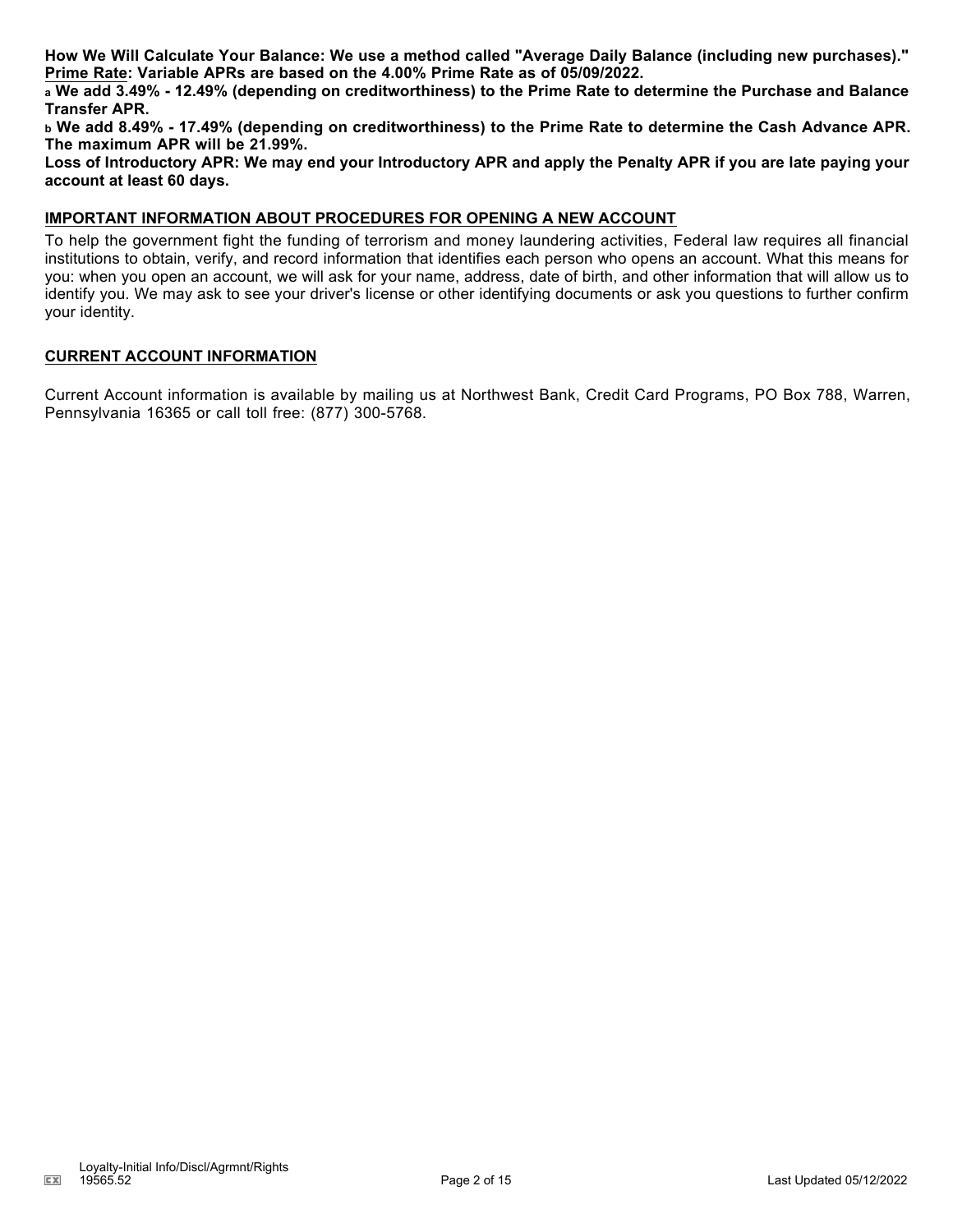**How We Will Calculate Your Balance: We use a method called "Average Daily Balance (including new purchases)." Prime Rate: Variable APRs are based on the 4.00% Prime Rate as of 05/09/2022.**

**<sup>a</sup> We add 3.49% - 12.49% (depending on creditworthiness) to the Prime Rate to determine the Purchase and Balance Transfer APR.**

**<sup>b</sup> We add 8.49% - 17.49% (depending on creditworthiness) to the Prime Rate to determine the Cash Advance APR. The maximum APR will be 21.99%.**

**Loss of Introductory APR: We may end your Introductory APR and apply the Penalty APR if you are late paying your account at least 60 days.**

### **IMPORTANT INFORMATION ABOUT PROCEDURES FOR OPENING A NEW ACCOUNT**

To help the government fight the funding of terrorism and money laundering activities, Federal law requires all financial institutions to obtain, verify, and record information that identifies each person who opens an account. What this means for you: when you open an account, we will ask for your name, address, date of birth, and other information that will allow us to identify you. We may ask to see your driver's license or other identifying documents or ask you questions to further confirm your identity.

## **CURRENT ACCOUNT INFORMATION**

Current Account information is available by mailing us at Northwest Bank, Credit Card Programs, PO Box 788, Warren, Pennsylvania 16365 or call toll free: (877) 300-5768.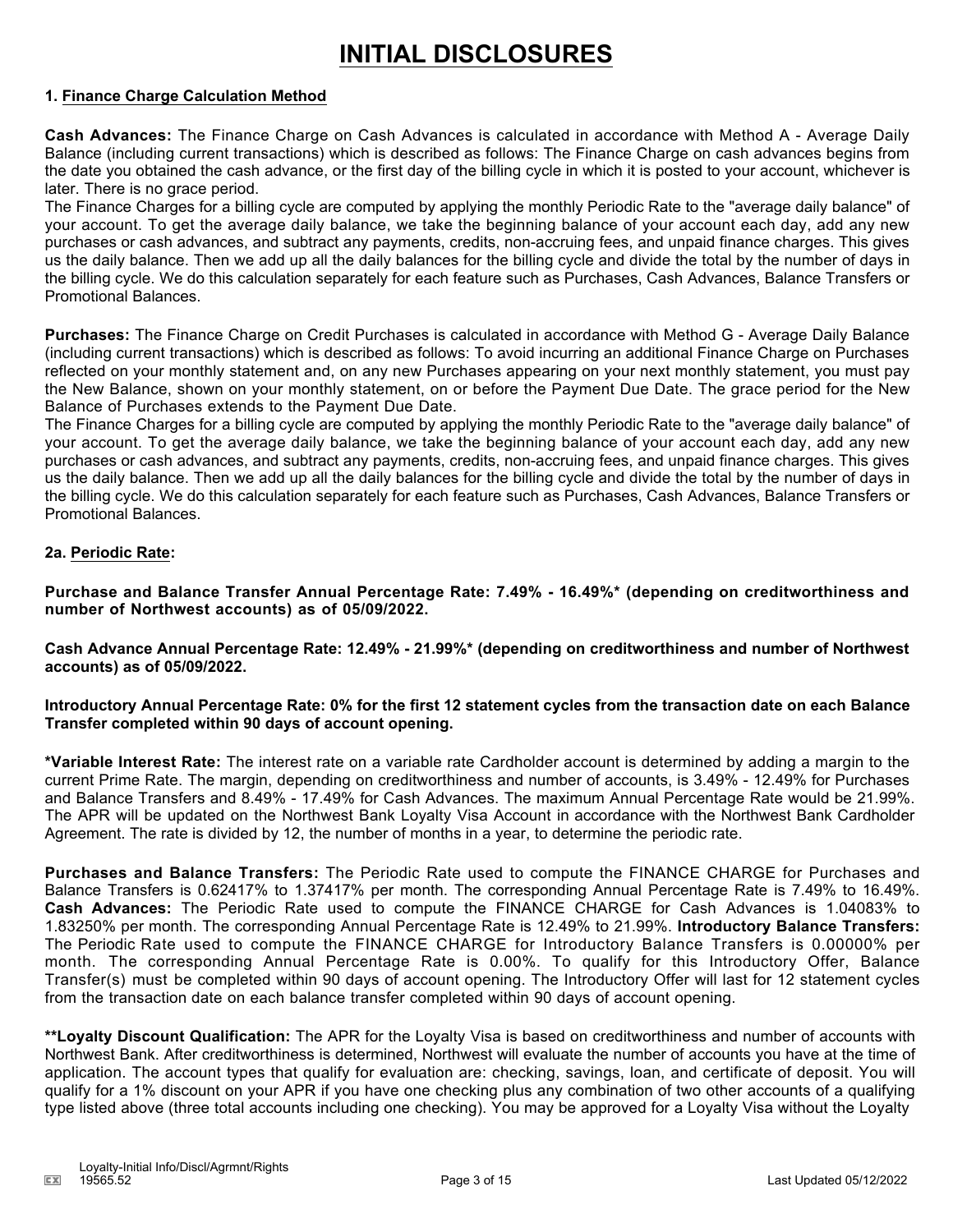# **INITIAL DISCLOSURES**

### **1. Finance Charge Calculation Method**

**Cash Advances:** The Finance Charge on Cash Advances is calculated in accordance with Method A - Average Daily Balance (including current transactions) which is described as follows: The Finance Charge on cash advances begins from the date you obtained the cash advance, or the first day of the billing cycle in which it is posted to your account, whichever is later. There is no grace period.

The Finance Charges for a billing cycle are computed by applying the monthly Periodic Rate to the "average daily balance" of your account. To get the average daily balance, we take the beginning balance of your account each day, add any new purchases or cash advances, and subtract any payments, credits, non-accruing fees, and unpaid finance charges. This gives us the daily balance. Then we add up all the daily balances for the billing cycle and divide the total by the number of days in the billing cycle. We do this calculation separately for each feature such as Purchases, Cash Advances, Balance Transfers or Promotional Balances.

**Purchases:** The Finance Charge on Credit Purchases is calculated in accordance with Method G - Average Daily Balance (including current transactions) which is described as follows: To avoid incurring an additional Finance Charge on Purchases reflected on your monthly statement and, on any new Purchases appearing on your next monthly statement, you must pay the New Balance, shown on your monthly statement, on or before the Payment Due Date. The grace period for the New Balance of Purchases extends to the Payment Due Date.

The Finance Charges for a billing cycle are computed by applying the monthly Periodic Rate to the "average daily balance" of your account. To get the average daily balance, we take the beginning balance of your account each day, add any new purchases or cash advances, and subtract any payments, credits, non-accruing fees, and unpaid finance charges. This gives us the daily balance. Then we add up all the daily balances for the billing cycle and divide the total by the number of days in the billing cycle. We do this calculation separately for each feature such as Purchases, Cash Advances, Balance Transfers or Promotional Balances.

## **2a. Periodic Rate:**

**Purchase and Balance Transfer Annual Percentage Rate: 7.49% - 16.49%\* (depending on creditworthiness and number of Northwest accounts) as of 05/09/2022.**

**Cash Advance Annual Percentage Rate: 12.49% - 21.99%\* (depending on creditworthiness and number of Northwest accounts) as of 05/09/2022.**

## **Introductory Annual Percentage Rate: 0% for the first 12 statement cycles from the transaction date on each Balance Transfer completed within 90 days of account opening.**

**\*Variable Interest Rate:** The interest rate on a variable rate Cardholder account is determined by adding a margin to the current Prime Rate. The margin, depending on creditworthiness and number of accounts, is 3.49% - 12.49% for Purchases and Balance Transfers and 8.49% - 17.49% for Cash Advances. The maximum Annual Percentage Rate would be 21.99%. The APR will be updated on the Northwest Bank Loyalty Visa Account in accordance with the Northwest Bank Cardholder Agreement. The rate is divided by 12, the number of months in a year, to determine the periodic rate.

**Purchases and Balance Transfers:** The Periodic Rate used to compute the FINANCE CHARGE for Purchases and Balance Transfers is 0.62417% to 1.37417% per month. The corresponding Annual Percentage Rate is 7.49% to 16.49%. **Cash Advances:** The Periodic Rate used to compute the FINANCE CHARGE for Cash Advances is 1.04083% to 1.83250% per month. The corresponding Annual Percentage Rate is 12.49% to 21.99%. **Introductory Balance Transfers:** The Periodic Rate used to compute the FINANCE CHARGE for Introductory Balance Transfers is 0.00000% per month. The corresponding Annual Percentage Rate is 0.00%. To qualify for this Introductory Offer, Balance Transfer(s) must be completed within 90 days of account opening. The Introductory Offer will last for 12 statement cycles from the transaction date on each balance transfer completed within 90 days of account opening.

**\*\*Loyalty Discount Qualification:** The APR for the Loyalty Visa is based on creditworthiness and number of accounts with Northwest Bank. After creditworthiness is determined, Northwest will evaluate the number of accounts you have at the time of application. The account types that qualify for evaluation are: checking, savings, loan, and certificate of deposit. You will qualify for a 1% discount on your APR if you have one checking plus any combination of two other accounts of a qualifying type listed above (three total accounts including one checking). You may be approved for a Loyalty Visa without the Loyalty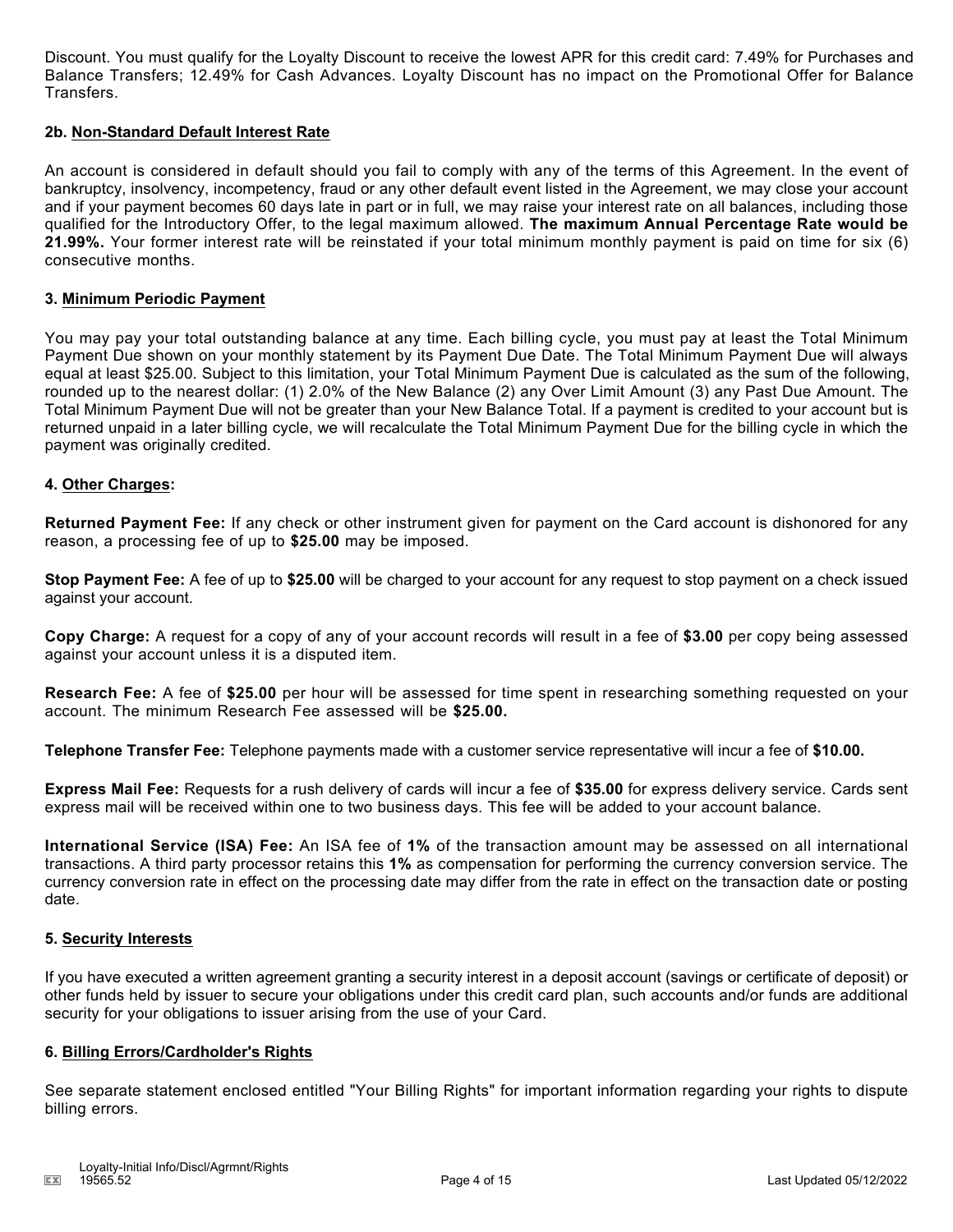Discount. You must qualify for the Loyalty Discount to receive the lowest APR for this credit card: 7.49% for Purchases and Balance Transfers; 12.49% for Cash Advances. Loyalty Discount has no impact on the Promotional Offer for Balance **Transfers** 

## **2b. Non-Standard Default Interest Rate**

An account is considered in default should you fail to comply with any of the terms of this Agreement. In the event of bankruptcy, insolvency, incompetency, fraud or any other default event listed in the Agreement, we may close your account and if your payment becomes 60 days late in part or in full, we may raise your interest rate on all balances, including those qualified for the Introductory Offer, to the legal maximum allowed. **The maximum Annual Percentage Rate would be 21.99%.** Your former interest rate will be reinstated if your total minimum monthly payment is paid on time for six (6) consecutive months.

#### **3. Minimum Periodic Payment**

You may pay your total outstanding balance at any time. Each billing cycle, you must pay at least the Total Minimum Payment Due shown on your monthly statement by its Payment Due Date. The Total Minimum Payment Due will always equal at least \$25.00. Subject to this limitation, your Total Minimum Payment Due is calculated as the sum of the following, rounded up to the nearest dollar: (1) 2.0% of the New Balance (2) any Over Limit Amount (3) any Past Due Amount. The Total Minimum Payment Due will not be greater than your New Balance Total. If a payment is credited to your account but is returned unpaid in a later billing cycle, we will recalculate the Total Minimum Payment Due for the billing cycle in which the payment was originally credited.

#### **4. Other Charges:**

**Returned Payment Fee:** If any check or other instrument given for payment on the Card account is dishonored for any reason, a processing fee of up to **\$25.00** may be imposed.

**Stop Payment Fee:** A fee of up to **\$25.00** will be charged to your account for any request to stop payment on a check issued against your account.

**Copy Charge:** A request for a copy of any of your account records will result in a fee of **\$3.00** per copy being assessed against your account unless it is a disputed item.

**Research Fee:** A fee of **\$25.00** per hour will be assessed for time spent in researching something requested on your account. The minimum Research Fee assessed will be **\$25.00.**

**Telephone Transfer Fee:** Telephone payments made with a customer service representative will incur a fee of **\$10.00.**

**Express Mail Fee:** Requests for a rush delivery of cards will incur a fee of **\$35.00** for express delivery service. Cards sent express mail will be received within one to two business days. This fee will be added to your account balance.

**International Service (ISA) Fee:** An ISA fee of **1%** of the transaction amount may be assessed on all international transactions. A third party processor retains this **1%** as compensation for performing the currency conversion service. The currency conversion rate in effect on the processing date may differ from the rate in effect on the transaction date or posting date.

#### **5. Security Interests**

If you have executed a written agreement granting a security interest in a deposit account (savings or certificate of deposit) or other funds held by issuer to secure your obligations under this credit card plan, such accounts and/or funds are additional security for your obligations to issuer arising from the use of your Card.

#### **6. Billing Errors/Cardholder's Rights**

See separate statement enclosed entitled "Your Billing Rights" for important information regarding your rights to dispute billing errors.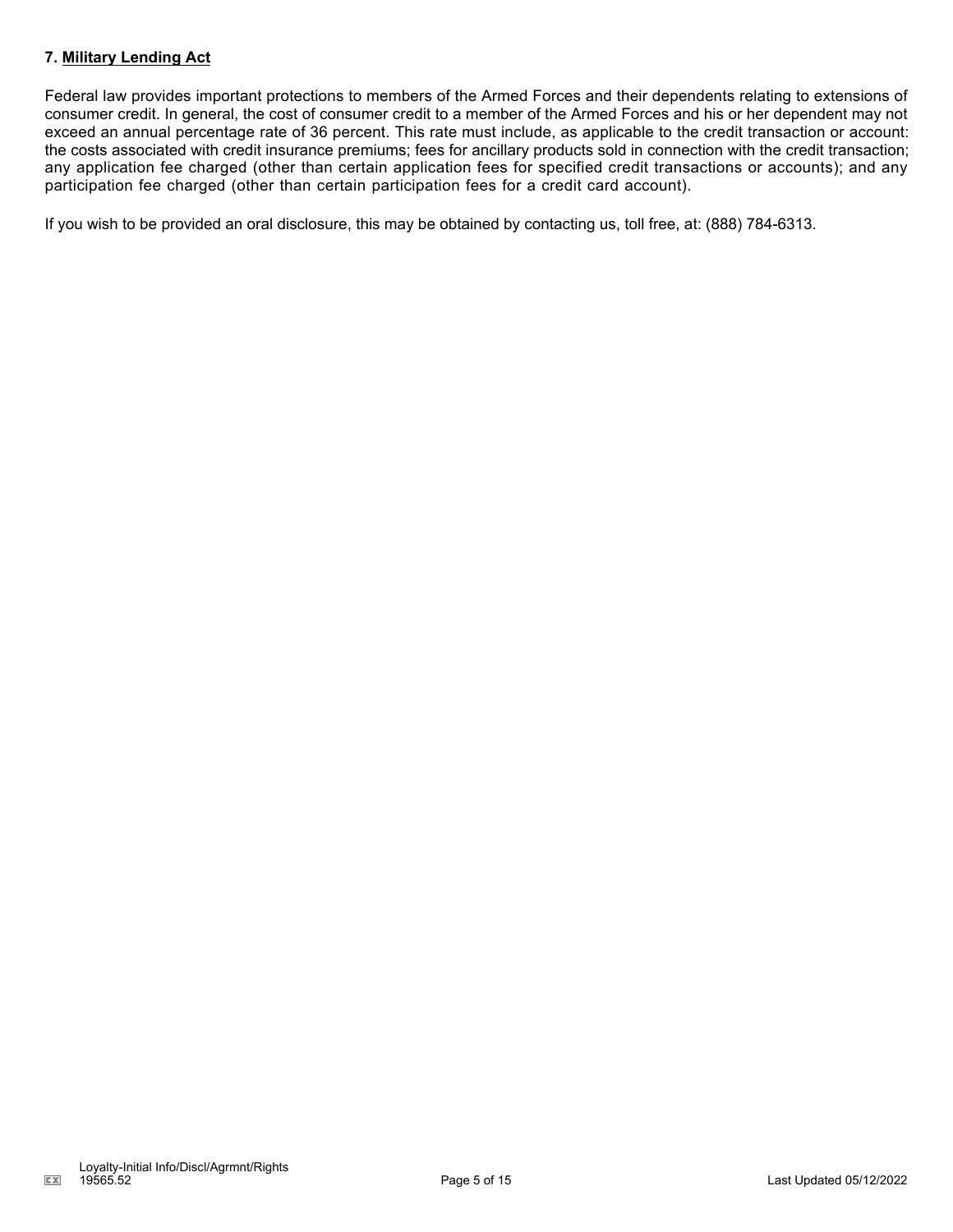## **7. Military Lending Act**

Federal law provides important protections to members of the Armed Forces and their dependents relating to extensions of consumer credit. In general, the cost of consumer credit to a member of the Armed Forces and his or her dependent may not exceed an annual percentage rate of 36 percent. This rate must include, as applicable to the credit transaction or account: the costs associated with credit insurance premiums; fees for ancillary products sold in connection with the credit transaction; any application fee charged (other than certain application fees for specified credit transactions or accounts); and any participation fee charged (other than certain participation fees for a credit card account).

If you wish to be provided an oral disclosure, this may be obtained by contacting us, toll free, at: (888) 784-6313.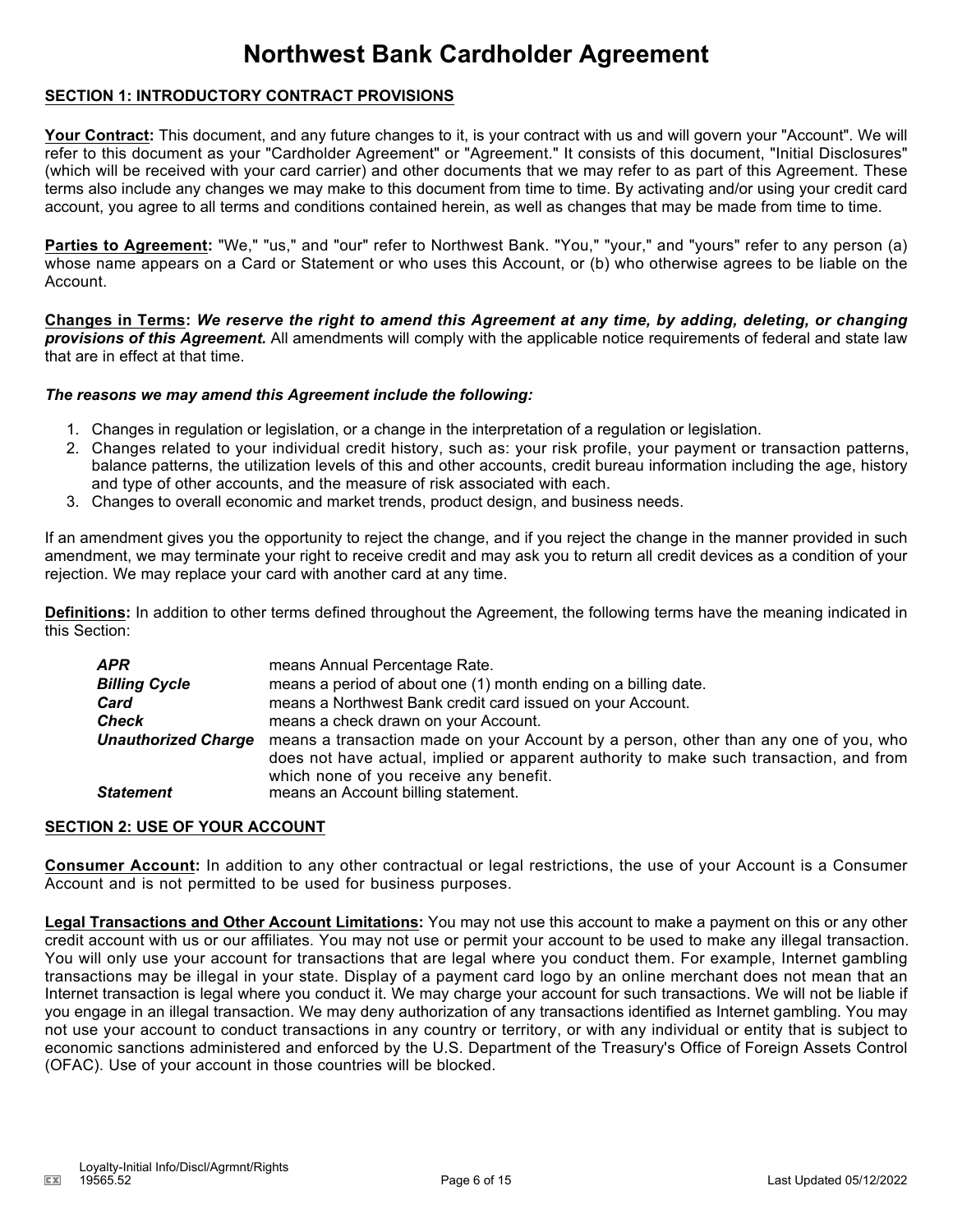# **Northwest Bank Cardholder Agreement**

### **SECTION 1: INTRODUCTORY CONTRACT PROVISIONS**

Your Contract: This document, and any future changes to it, is your contract with us and will govern your "Account". We will refer to this document as your "Cardholder Agreement" or "Agreement." It consists of this document, "Initial Disclosures" (which will be received with your card carrier) and other documents that we may refer to as part of this Agreement. These terms also include any changes we may make to this document from time to time. By activating and/or using your credit card account, you agree to all terms and conditions contained herein, as well as changes that may be made from time to time.

**Parties to Agreement:** "We," "us," and "our" refer to Northwest Bank. "You," "your," and "yours" refer to any person (a) whose name appears on a Card or Statement or who uses this Account, or (b) who otherwise agrees to be liable on the Account.

**Changes in Terms:** *We reserve the right to amend this Agreement at any time, by adding, deleting, or changing provisions of this Agreement.* All amendments will comply with the applicable notice requirements of federal and state law that are in effect at that time.

#### *The reasons we may amend this Agreement include the following:*

- 1. Changes in regulation or legislation, or a change in the interpretation of a regulation or legislation.
- 2. Changes related to your individual credit history, such as: your risk profile, your payment or transaction patterns, balance patterns, the utilization levels of this and other accounts, credit bureau information including the age, history and type of other accounts, and the measure of risk associated with each.
- 3. Changes to overall economic and market trends, product design, and business needs.

If an amendment gives you the opportunity to reject the change, and if you reject the change in the manner provided in such amendment, we may terminate your right to receive credit and may ask you to return all credit devices as a condition of your rejection. We may replace your card with another card at any time.

**Definitions:** In addition to other terms defined throughout the Agreement, the following terms have the meaning indicated in this Section:

| APR                  | means Annual Percentage Rate.                                                                                                                                                                                                                       |
|----------------------|-----------------------------------------------------------------------------------------------------------------------------------------------------------------------------------------------------------------------------------------------------|
| <b>Billing Cycle</b> | means a period of about one (1) month ending on a billing date.                                                                                                                                                                                     |
| Card                 | means a Northwest Bank credit card issued on your Account.                                                                                                                                                                                          |
| Check                | means a check drawn on your Account.                                                                                                                                                                                                                |
|                      | <b>Unauthorized Charge</b> means a transaction made on your Account by a person, other than any one of you, who<br>does not have actual, implied or apparent authority to make such transaction, and from<br>which none of you receive any benefit. |
| <b>Statement</b>     | means an Account billing statement.                                                                                                                                                                                                                 |

# **SECTION 2: USE OF YOUR ACCOUNT**

**Consumer Account:** In addition to any other contractual or legal restrictions, the use of your Account is a Consumer Account and is not permitted to be used for business purposes.

**Legal Transactions and Other Account Limitations:** You may not use this account to make a payment on this or any other credit account with us or our affiliates. You may not use or permit your account to be used to make any illegal transaction. You will only use your account for transactions that are legal where you conduct them. For example, Internet gambling transactions may be illegal in your state. Display of a payment card logo by an online merchant does not mean that an Internet transaction is legal where you conduct it. We may charge your account for such transactions. We will not be liable if you engage in an illegal transaction. We may deny authorization of any transactions identified as Internet gambling. You may not use your account to conduct transactions in any country or territory, or with any individual or entity that is subject to economic sanctions administered and enforced by the U.S. Department of the Treasury's Office of Foreign Assets Control (OFAC). Use of your account in those countries will be blocked.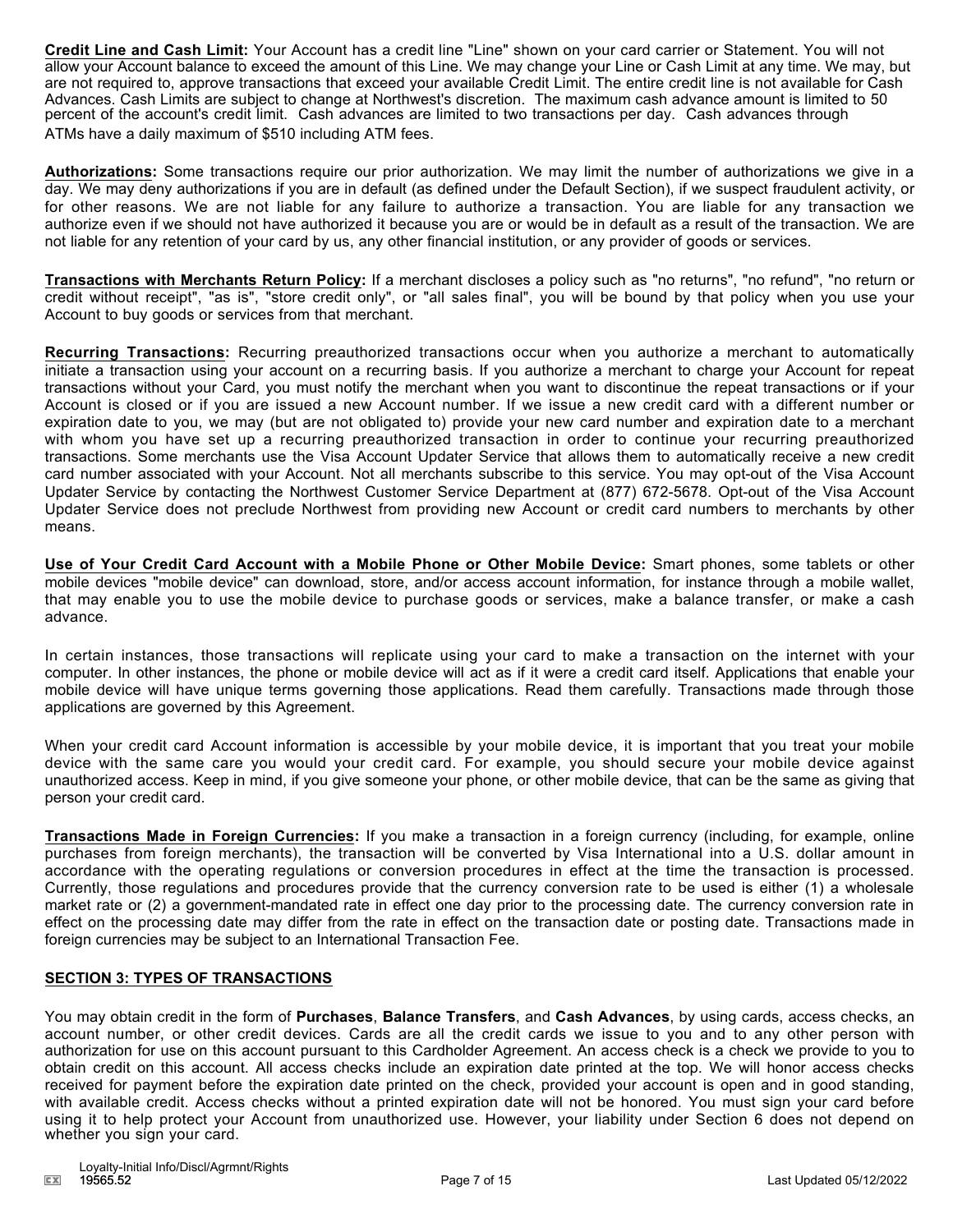**Credit Line and Cash Limit:** Your Account has a credit line "Line" shown on your card carrier or Statement. You will not allow your Account balance to exceed the amount of this Line. We may change your Line or Cash Limit at any time. We may, but are not required to, approve transactions that exceed your available Credit Limit. The entire credit line is not available for Cash Advances. Cash Limits are subject to change at Northwest's discretion. The maximum cash advance amount is limited to 50 percent of the account's credit limit. Cash advances are limited to two transactions per day. Cash advances through ATMs have a daily maximum of \$510 including ATM fees.

**Authorizations:** Some transactions require our prior authorization. We may limit the number of authorizations we give in a day. We may deny authorizations if you are in default (as defined under the Default Section), if we suspect fraudulent activity, or for other reasons. We are not liable for any failure to authorize a transaction. You are liable for any transaction we authorize even if we should not have authorized it because you are or would be in default as a result of the transaction. We are not liable for any retention of your card by us, any other financial institution, or any provider of goods or services.

**Transactions with Merchants Return Policy:** If a merchant discloses a policy such as "no returns", "no refund", "no return or credit without receipt", "as is", "store credit only", or "all sales final", you will be bound by that policy when you use your Account to buy goods or services from that merchant.

**Recurring Transactions:** Recurring preauthorized transactions occur when you authorize a merchant to automatically initiate a transaction using your account on a recurring basis. If you authorize a merchant to charge your Account for repeat transactions without your Card, you must notify the merchant when you want to discontinue the repeat transactions or if your Account is closed or if you are issued a new Account number. If we issue a new credit card with a different number or expiration date to you, we may (but are not obligated to) provide your new card number and expiration date to a merchant with whom you have set up a recurring preauthorized transaction in order to continue your recurring preauthorized transactions. Some merchants use the Visa Account Updater Service that allows them to automatically receive a new credit card number associated with your Account. Not all merchants subscribe to this service. You may opt-out of the Visa Account Updater Service by contacting the Northwest Customer Service Department at (877) 672-5678. Opt-out of the Visa Account Updater Service does not preclude Northwest from providing new Account or credit card numbers to merchants by other means.

**Use of Your Credit Card Account with a Mobile Phone or Other Mobile Device:** Smart phones, some tablets or other mobile devices "mobile device" can download, store, and/or access account information, for instance through a mobile wallet, that may enable you to use the mobile device to purchase goods or services, make a balance transfer, or make a cash advance.

In certain instances, those transactions will replicate using your card to make a transaction on the internet with your computer. In other instances, the phone or mobile device will act as if it were a credit card itself. Applications that enable your mobile device will have unique terms governing those applications. Read them carefully. Transactions made through those applications are governed by this Agreement.

When your credit card Account information is accessible by your mobile device, it is important that you treat your mobile device with the same care you would your credit card. For example, you should secure your mobile device against unauthorized access. Keep in mind, if you give someone your phone, or other mobile device, that can be the same as giving that person your credit card.

**Transactions Made in Foreign Currencies:** If you make a transaction in a foreign currency (including, for example, online purchases from foreign merchants), the transaction will be converted by Visa International into a U.S. dollar amount in accordance with the operating regulations or conversion procedures in effect at the time the transaction is processed. Currently, those regulations and procedures provide that the currency conversion rate to be used is either (1) a wholesale market rate or (2) a government-mandated rate in effect one day prior to the processing date. The currency conversion rate in effect on the processing date may differ from the rate in effect on the transaction date or posting date. Transactions made in foreign currencies may be subject to an International Transaction Fee.

#### **SECTION 3: TYPES OF TRANSACTIONS**

You may obtain credit in the form of **Purchases**, **Balance Transfers**, and **Cash Advances**, by using cards, access checks, an account number, or other credit devices. Cards are all the credit cards we issue to you and to any other person with authorization for use on this account pursuant to this Cardholder Agreement. An access check is a check we provide to you to obtain credit on this account. All access checks include an expiration date printed at the top. We will honor access checks received for payment before the expiration date printed on the check, provided your account is open and in good standing, with available credit. Access checks without a printed expiration date will not be honored. You must sign your card before using it to help protect your Account from unauthorized use. However, your liability under Section 6 does not depend on whether you sign your card.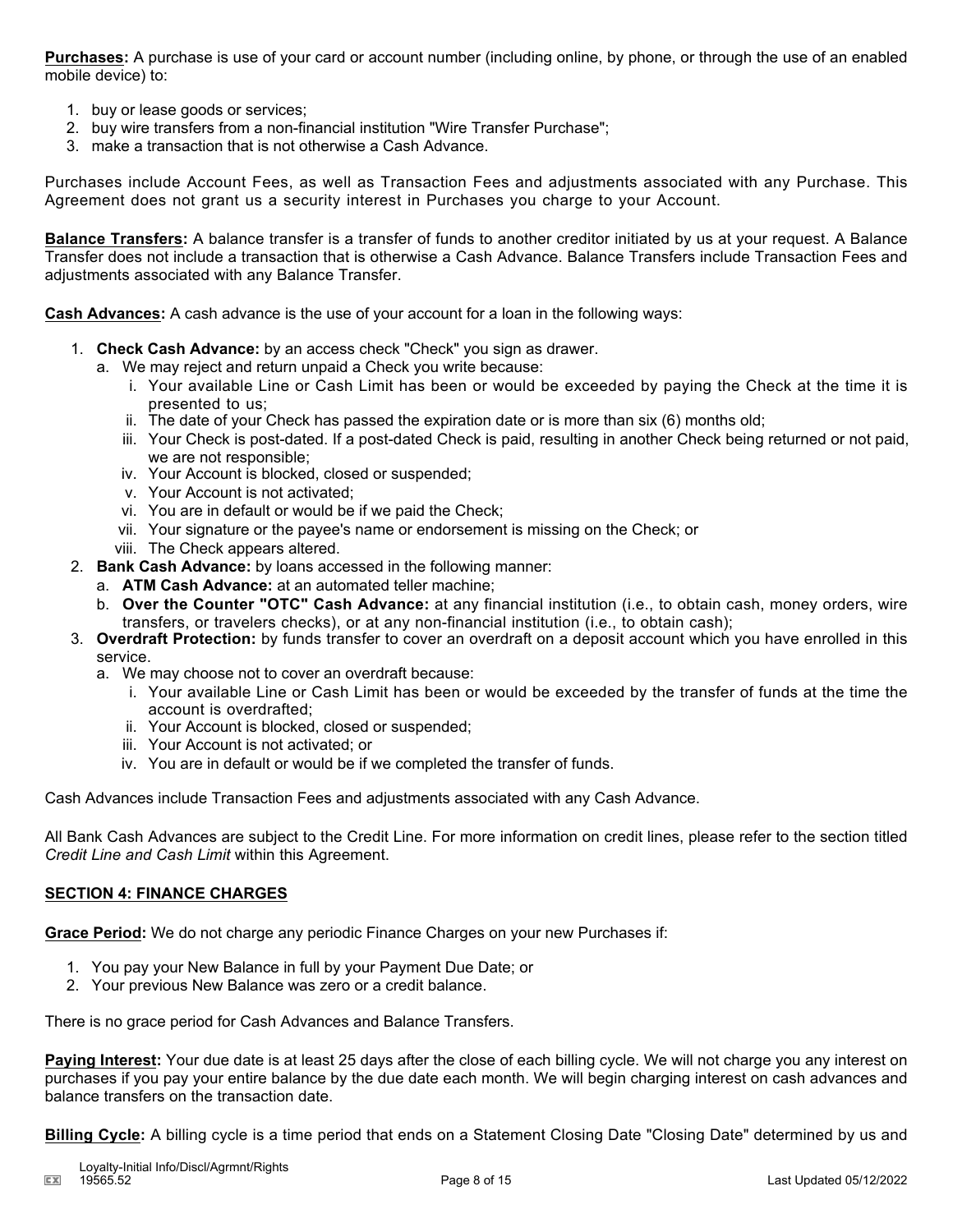**Purchases:** A purchase is use of your card or account number (including online, by phone, or through the use of an enabled mobile device) to:

- 1. buy or lease goods or services;
- 2. buy wire transfers from a non-financial institution "Wire Transfer Purchase";
- 3. make a transaction that is not otherwise a Cash Advance.

Purchases include Account Fees, as well as Transaction Fees and adjustments associated with any Purchase. This Agreement does not grant us a security interest in Purchases you charge to your Account.

**Balance Transfers:** A balance transfer is a transfer of funds to another creditor initiated by us at your request. A Balance Transfer does not include a transaction that is otherwise a Cash Advance. Balance Transfers include Transaction Fees and adjustments associated with any Balance Transfer.

**Cash Advances:** A cash advance is the use of your account for a loan in the following ways:

- 1. **Check Cash Advance:** by an access check "Check" you sign as drawer.
	- a. We may reject and return unpaid a Check you write because:
		- i. Your available Line or Cash Limit has been or would be exceeded by paying the Check at the time it is presented to us;
		- ii. The date of your Check has passed the expiration date or is more than six (6) months old;
		- iii. Your Check is post-dated. If a post-dated Check is paid, resulting in another Check being returned or not paid, we are not responsible;
		- iv. Your Account is blocked, closed or suspended;
		- v. Your Account is not activated;
		- vi. You are in default or would be if we paid the Check;
		- vii. Your signature or the payee's name or endorsement is missing on the Check; or
		- viii. The Check appears altered.
- 2. **Bank Cash Advance:** by loans accessed in the following manner:
	- a. **ATM Cash Advance:** at an automated teller machine;
	- b. **Over the Counter "OTC" Cash Advance:** at any financial institution (i.e., to obtain cash, money orders, wire transfers, or travelers checks), or at any non-financial institution (i.e., to obtain cash);
- 3. **Overdraft Protection:** by funds transfer to cover an overdraft on a deposit account which you have enrolled in this service.
	- a. We may choose not to cover an overdraft because:
		- i. Your available Line or Cash Limit has been or would be exceeded by the transfer of funds at the time the account is overdrafted;
		- ii. Your Account is blocked, closed or suspended;
		- iii. Your Account is not activated; or
		- iv. You are in default or would be if we completed the transfer of funds.

Cash Advances include Transaction Fees and adjustments associated with any Cash Advance.

All Bank Cash Advances are subject to the Credit Line. For more information on credit lines, please refer to the section titled *Credit Line and Cash Limit* within this Agreement.

# **SECTION 4: FINANCE CHARGES**

**Grace Period:** We do not charge any periodic Finance Charges on your new Purchases if:

- 1. You pay your New Balance in full by your Payment Due Date; or
- 2. Your previous New Balance was zero or a credit balance.

There is no grace period for Cash Advances and Balance Transfers.

**Paying Interest:** Your due date is at least 25 days after the close of each billing cycle. We will not charge you any interest on purchases if you pay your entire balance by the due date each month. We will begin charging interest on cash advances and balance transfers on the transaction date.

**Billing Cycle:** A billing cycle is a time period that ends on a Statement Closing Date "Closing Date" determined by us and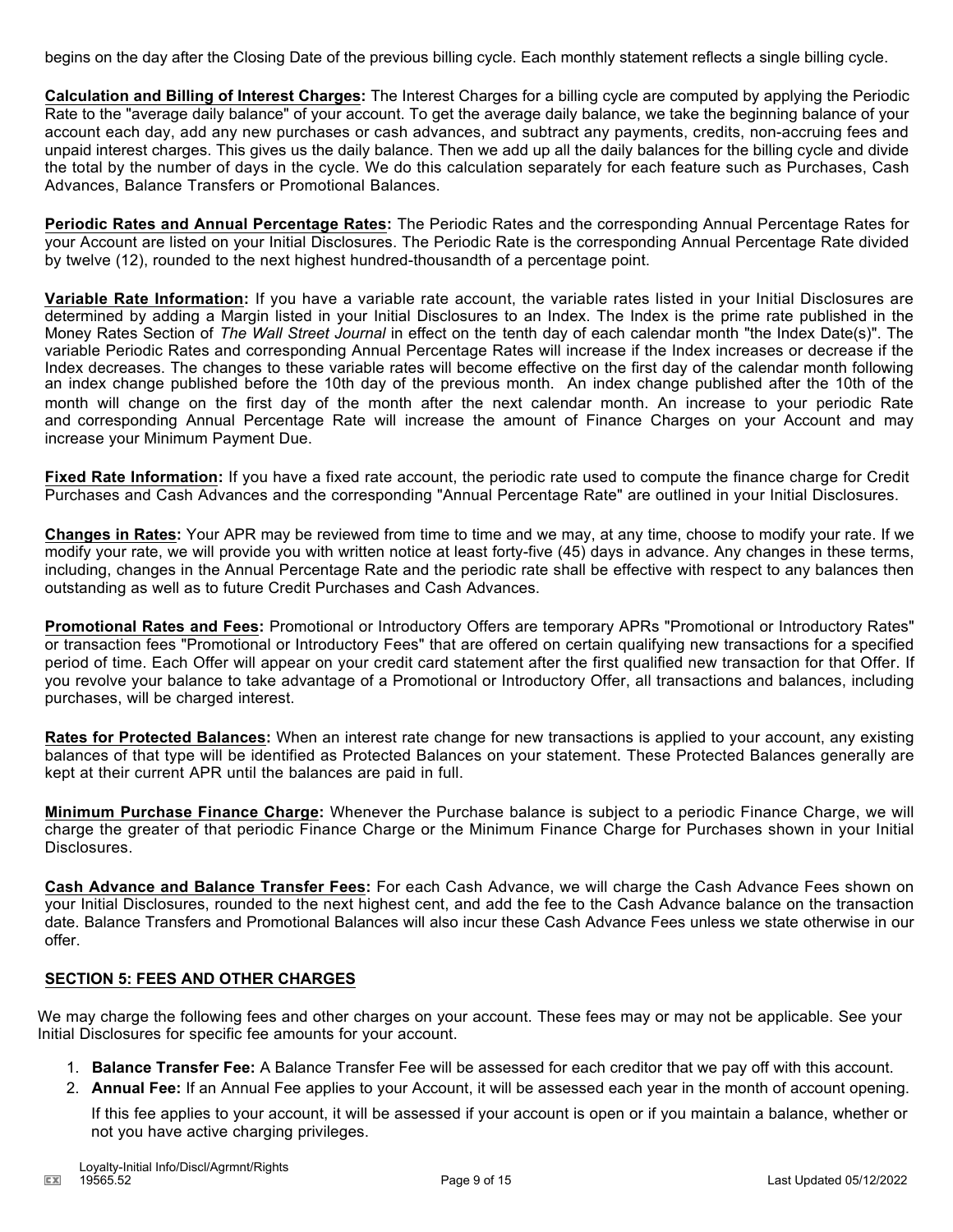begins on the day after the Closing Date of the previous billing cycle. Each monthly statement reflects a single billing cycle.

**Calculation and Billing of Interest Charges:** The Interest Charges for a billing cycle are computed by applying the Periodic Rate to the "average daily balance" of your account. To get the average daily balance, we take the beginning balance of your account each day, add any new purchases or cash advances, and subtract any payments, credits, non-accruing fees and unpaid interest charges. This gives us the daily balance. Then we add up all the daily balances for the billing cycle and divide the total by the number of days in the cycle. We do this calculation separately for each feature such as Purchases, Cash Advances, Balance Transfers or Promotional Balances.

**Periodic Rates and Annual Percentage Rates:** The Periodic Rates and the corresponding Annual Percentage Rates for your Account are listed on your Initial Disclosures. The Periodic Rate is the corresponding Annual Percentage Rate divided by twelve (12), rounded to the next highest hundred-thousandth of a percentage point.

**Variable Rate Information:** If you have a variable rate account, the variable rates listed in your Initial Disclosures are determined by adding a Margin listed in your Initial Disclosures to an Index. The Index is the prime rate published in the Money Rates Section of *The Wall Street Journal* in effect on the tenth day of each calendar month "the Index Date(s)". The variable Periodic Rates and corresponding Annual Percentage Rates will increase if the Index increases or decrease if the Index decreases. The changes to these variable rates will become effective on the first day of the calendar month following an index change published before the 10th day of the previous month. An index change published after the 10th of the month will change on the first day of the month after the next calendar month. An increase to your periodic Rate and corresponding Annual Percentage Rate will increase the amount of Finance Charges on your Account and may increase your Minimum Payment Due.

**Fixed Rate Information:** If you have a fixed rate account, the periodic rate used to compute the finance charge for Credit Purchases and Cash Advances and the corresponding "Annual Percentage Rate" are outlined in your Initial Disclosures.

**Changes in Rates:** Your APR may be reviewed from time to time and we may, at any time, choose to modify your rate. If we modify your rate, we will provide you with written notice at least forty-five (45) days in advance. Any changes in these terms, including, changes in the Annual Percentage Rate and the periodic rate shall be effective with respect to any balances then outstanding as well as to future Credit Purchases and Cash Advances.

**Promotional Rates and Fees:** Promotional or Introductory Offers are temporary APRs "Promotional or Introductory Rates" or transaction fees "Promotional or Introductory Fees" that are offered on certain qualifying new transactions for a specified period of time. Each Offer will appear on your credit card statement after the first qualified new transaction for that Offer. If you revolve your balance to take advantage of a Promotional or Introductory Offer, all transactions and balances, including purchases, will be charged interest.

**Rates for Protected Balances:** When an interest rate change for new transactions is applied to your account, any existing balances of that type will be identified as Protected Balances on your statement. These Protected Balances generally are kept at their current APR until the balances are paid in full.

**Minimum Purchase Finance Charge:** Whenever the Purchase balance is subject to a periodic Finance Charge, we will charge the greater of that periodic Finance Charge or the Minimum Finance Charge for Purchases shown in your Initial **Disclosures** 

**Cash Advance and Balance Transfer Fees:** For each Cash Advance, we will charge the Cash Advance Fees shown on your Initial Disclosures, rounded to the next highest cent, and add the fee to the Cash Advance balance on the transaction date. Balance Transfers and Promotional Balances will also incur these Cash Advance Fees unless we state otherwise in our offer.

# **SECTION 5: FEES AND OTHER CHARGES**

We may charge the following fees and other charges on your account. These fees may or may not be applicable. See your Initial Disclosures for specific fee amounts for your account.

- 1. **Balance Transfer Fee:** A Balance Transfer Fee will be assessed for each creditor that we pay off with this account.
- 2. **Annual Fee:** If an Annual Fee applies to your Account, it will be assessed each year in the month of account opening.

If this fee applies to your account, it will be assessed if your account is open or if you maintain a balance, whether or not you have active charging privileges.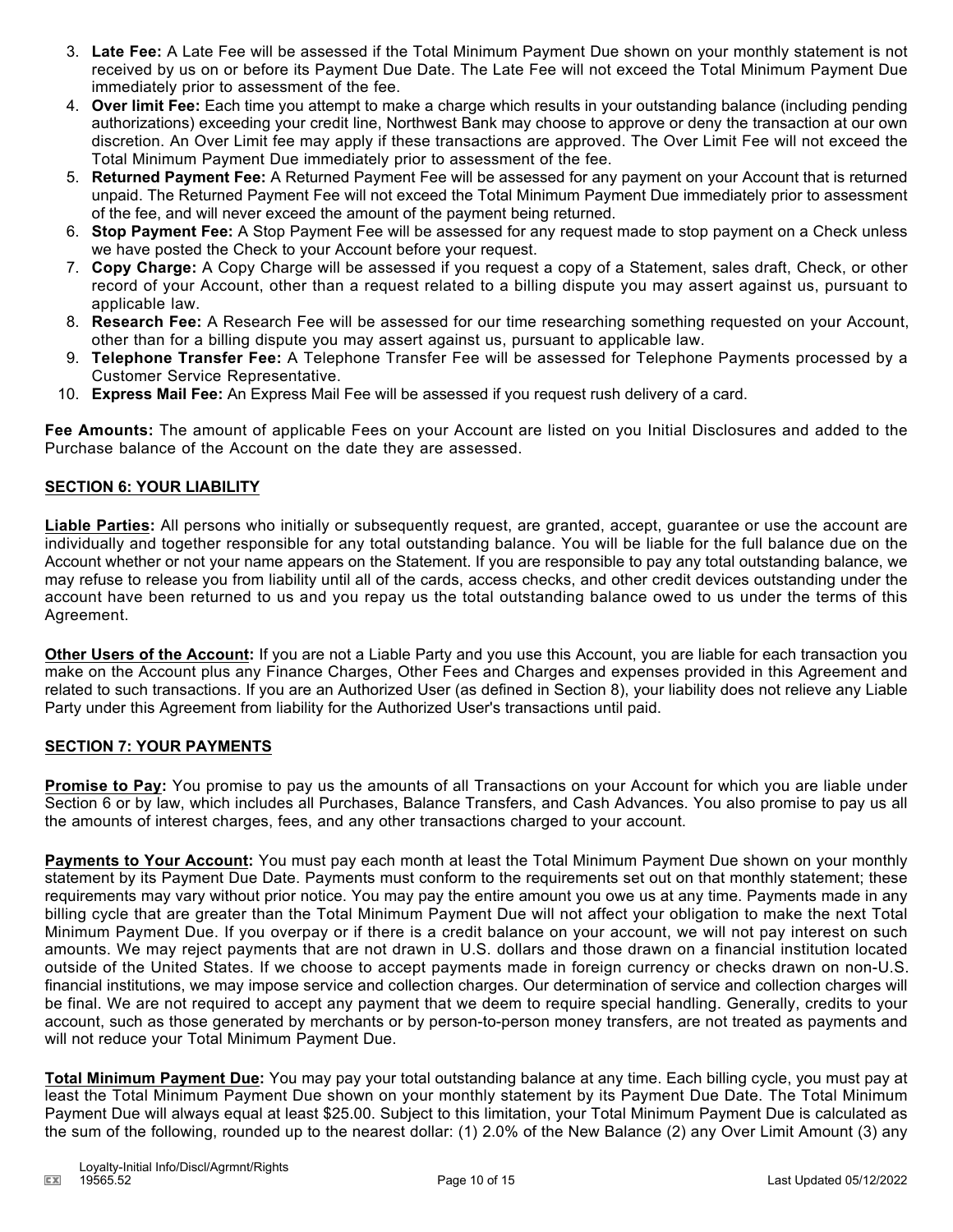- 3. **Late Fee:** A Late Fee will be assessed if the Total Minimum Payment Due shown on your monthly statement is not received by us on or before its Payment Due Date. The Late Fee will not exceed the Total Minimum Payment Due immediately prior to assessment of the fee.
- 4. **Over limit Fee:** Each time you attempt to make a charge which results in your outstanding balance (including pending authorizations) exceeding your credit line, Northwest Bank may choose to approve or deny the transaction at our own discretion. An Over Limit fee may apply if these transactions are approved. The Over Limit Fee will not exceed the Total Minimum Payment Due immediately prior to assessment of the fee.
- 5. **Returned Payment Fee:** A Returned Payment Fee will be assessed for any payment on your Account that is returned unpaid. The Returned Payment Fee will not exceed the Total Minimum Payment Due immediately prior to assessment of the fee, and will never exceed the amount of the payment being returned.
- 6. **Stop Payment Fee:** A Stop Payment Fee will be assessed for any request made to stop payment on a Check unless we have posted the Check to your Account before your request.
- 7. **Copy Charge:** A Copy Charge will be assessed if you request a copy of a Statement, sales draft, Check, or other record of your Account, other than a request related to a billing dispute you may assert against us, pursuant to applicable law.
- 8. **Research Fee:** A Research Fee will be assessed for our time researching something requested on your Account, other than for a billing dispute you may assert against us, pursuant to applicable law.
- 9. **Telephone Transfer Fee:** A Telephone Transfer Fee will be assessed for Telephone Payments processed by a Customer Service Representative.
- 10. **Express Mail Fee:** An Express Mail Fee will be assessed if you request rush delivery of a card.

**Fee Amounts:** The amount of applicable Fees on your Account are listed on you Initial Disclosures and added to the Purchase balance of the Account on the date they are assessed.

## **SECTION 6: YOUR LIABILITY**

**Liable Parties:** All persons who initially or subsequently request, are granted, accept, guarantee or use the account are individually and together responsible for any total outstanding balance. You will be liable for the full balance due on the Account whether or not your name appears on the Statement. If you are responsible to pay any total outstanding balance, we may refuse to release you from liability until all of the cards, access checks, and other credit devices outstanding under the account have been returned to us and you repay us the total outstanding balance owed to us under the terms of this Agreement.

**Other Users of the Account:** If you are not a Liable Party and you use this Account, you are liable for each transaction you make on the Account plus any Finance Charges, Other Fees and Charges and expenses provided in this Agreement and related to such transactions. If you are an Authorized User (as defined in Section 8), your liability does not relieve any Liable Party under this Agreement from liability for the Authorized User's transactions until paid.

# **SECTION 7: YOUR PAYMENTS**

**Promise to Pay:** You promise to pay us the amounts of all Transactions on your Account for which you are liable under Section 6 or by law, which includes all Purchases, Balance Transfers, and Cash Advances. You also promise to pay us all the amounts of interest charges, fees, and any other transactions charged to your account.

**Payments to Your Account:** You must pay each month at least the Total Minimum Payment Due shown on your monthly statement by its Payment Due Date. Payments must conform to the requirements set out on that monthly statement; these requirements may vary without prior notice. You may pay the entire amount you owe us at any time. Payments made in any billing cycle that are greater than the Total Minimum Payment Due will not affect your obligation to make the next Total Minimum Payment Due. If you overpay or if there is a credit balance on your account, we will not pay interest on such amounts. We may reject payments that are not drawn in U.S. dollars and those drawn on a financial institution located outside of the United States. If we choose to accept payments made in foreign currency or checks drawn on non-U.S. financial institutions, we may impose service and collection charges. Our determination of service and collection charges will be final. We are not required to accept any payment that we deem to require special handling. Generally, credits to your account, such as those generated by merchants or by person-to-person money transfers, are not treated as payments and will not reduce your Total Minimum Payment Due.

**Total Minimum Payment Due:** You may pay your total outstanding balance at any time. Each billing cycle, you must pay at least the Total Minimum Payment Due shown on your monthly statement by its Payment Due Date. The Total Minimum Payment Due will always equal at least \$25.00. Subject to this limitation, your Total Minimum Payment Due is calculated as the sum of the following, rounded up to the nearest dollar: (1) 2.0% of the New Balance (2) any Over Limit Amount (3) any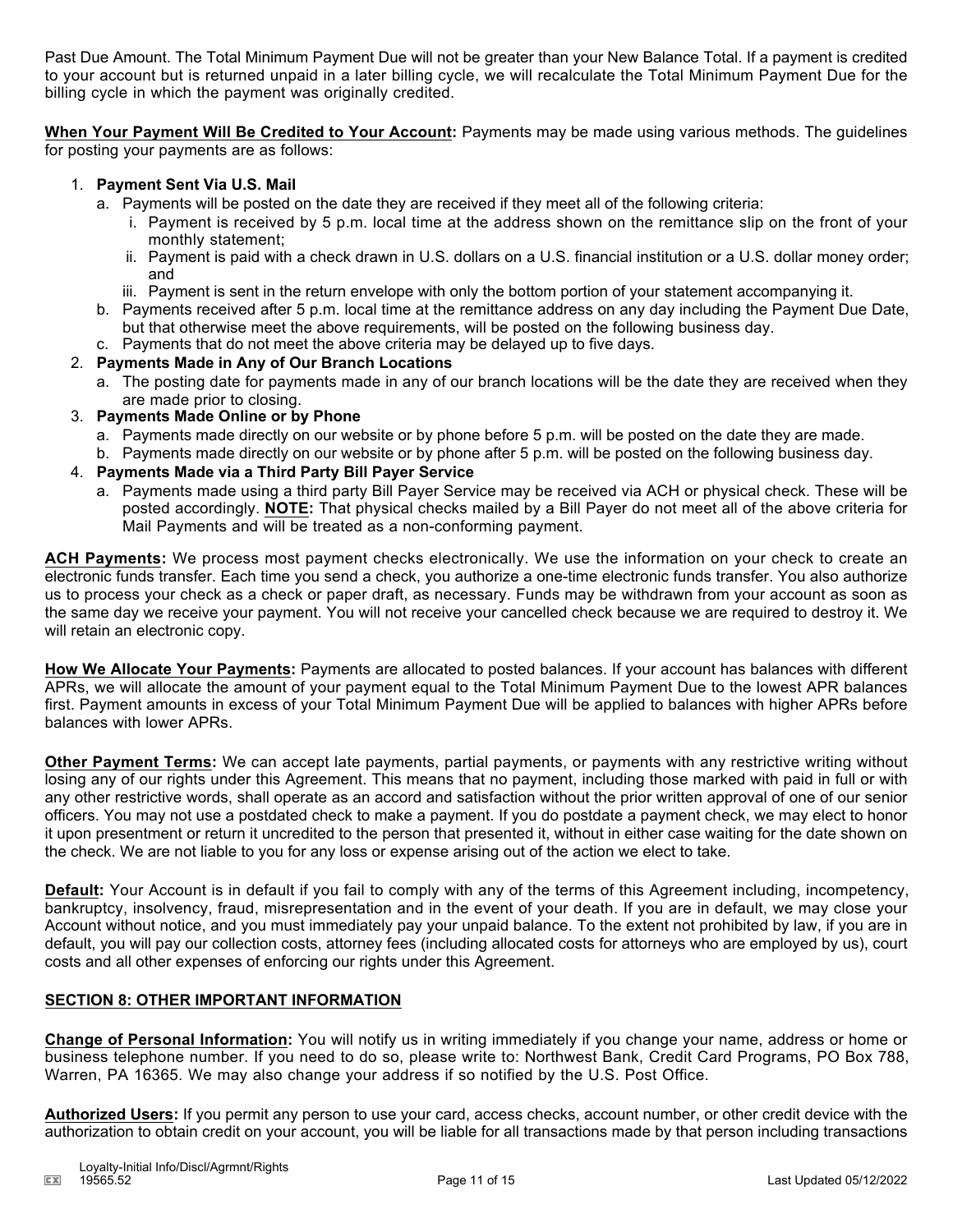Past Due Amount. The Total Minimum Payment Due will not be greater than your New Balance Total. If a payment is credited to your account but is returned unpaid in a later billing cycle, we will recalculate the Total Minimum Payment Due for the billing cycle in which the payment was originally credited.

**When Your Payment Will Be Credited to Your Account:** Payments may be made using various methods. The guidelines for posting your payments are as follows:

## 1. **Payment Sent Via U.S. Mail**

- a. Payments will be posted on the date they are received if they meet all of the following criteria:
	- i. Payment is received by 5 p.m. local time at the address shown on the remittance slip on the front of your monthly statement;
	- ii. Payment is paid with a check drawn in U.S. dollars on a U.S. financial institution or a U.S. dollar money order; and
	- iii. Payment is sent in the return envelope with only the bottom portion of your statement accompanying it.
- b. Payments received after 5 p.m. local time at the remittance address on any day including the Payment Due Date, but that otherwise meet the above requirements, will be posted on the following business day.
- c. Payments that do not meet the above criteria may be delayed up to five days.

# 2. **Payments Made in Any of Our Branch Locations**

- a. The posting date for payments made in any of our branch locations will be the date they are received when they are made prior to closing.
- 3. **Payments Made Online or by Phone**
	- a. Payments made directly on our website or by phone before 5 p.m. will be posted on the date they are made.
	- b. Payments made directly on our website or by phone after 5 p.m. will be posted on the following business day.
- 4. **Payments Made via a Third Party Bill Payer Service**
	- a. Payments made using a third party Bill Payer Service may be received via ACH or physical check. These will be posted accordingly. **NOTE:** That physical checks mailed by a Bill Payer do not meet all of the above criteria for Mail Payments and will be treated as a non-conforming payment.

**ACH Payments:** We process most payment checks electronically. We use the information on your check to create an electronic funds transfer. Each time you send a check, you authorize a one-time electronic funds transfer. You also authorize us to process your check as a check or paper draft, as necessary. Funds may be withdrawn from your account as soon as the same day we receive your payment. You will not receive your cancelled check because we are required to destroy it. We will retain an electronic copy.

**How We Allocate Your Payments:** Payments are allocated to posted balances. If your account has balances with different APRs, we will allocate the amount of your payment equal to the Total Minimum Payment Due to the lowest APR balances first. Payment amounts in excess of your Total Minimum Payment Due will be applied to balances with higher APRs before balances with lower APRs.

**Other Payment Terms:** We can accept late payments, partial payments, or payments with any restrictive writing without losing any of our rights under this Agreement. This means that no payment, including those marked with paid in full or with any other restrictive words, shall operate as an accord and satisfaction without the prior written approval of one of our senior officers. You may not use a postdated check to make a payment. If you do postdate a payment check, we may elect to honor it upon presentment or return it uncredited to the person that presented it, without in either case waiting for the date shown on the check. We are not liable to you for any loss or expense arising out of the action we elect to take.

**Default:** Your Account is in default if you fail to comply with any of the terms of this Agreement including, incompetency, bankruptcy, insolvency, fraud, misrepresentation and in the event of your death. If you are in default, we may close your Account without notice, and you must immediately pay your unpaid balance. To the extent not prohibited by law, if you are in default, you will pay our collection costs, attorney fees (including allocated costs for attorneys who are employed by us), court costs and all other expenses of enforcing our rights under this Agreement.

# **SECTION 8: OTHER IMPORTANT INFORMATION**

**Change of Personal Information:** You will notify us in writing immediately if you change your name, address or home or business telephone number. If you need to do so, please write to: Northwest Bank, Credit Card Programs, PO Box 788, Warren, PA 16365. We may also change your address if so notified by the U.S. Post Office.

**Authorized Users:** If you permit any person to use your card, access checks, account number, or other credit device with the authorization to obtain credit on your account, you will be liable for all transactions made by that person including transactions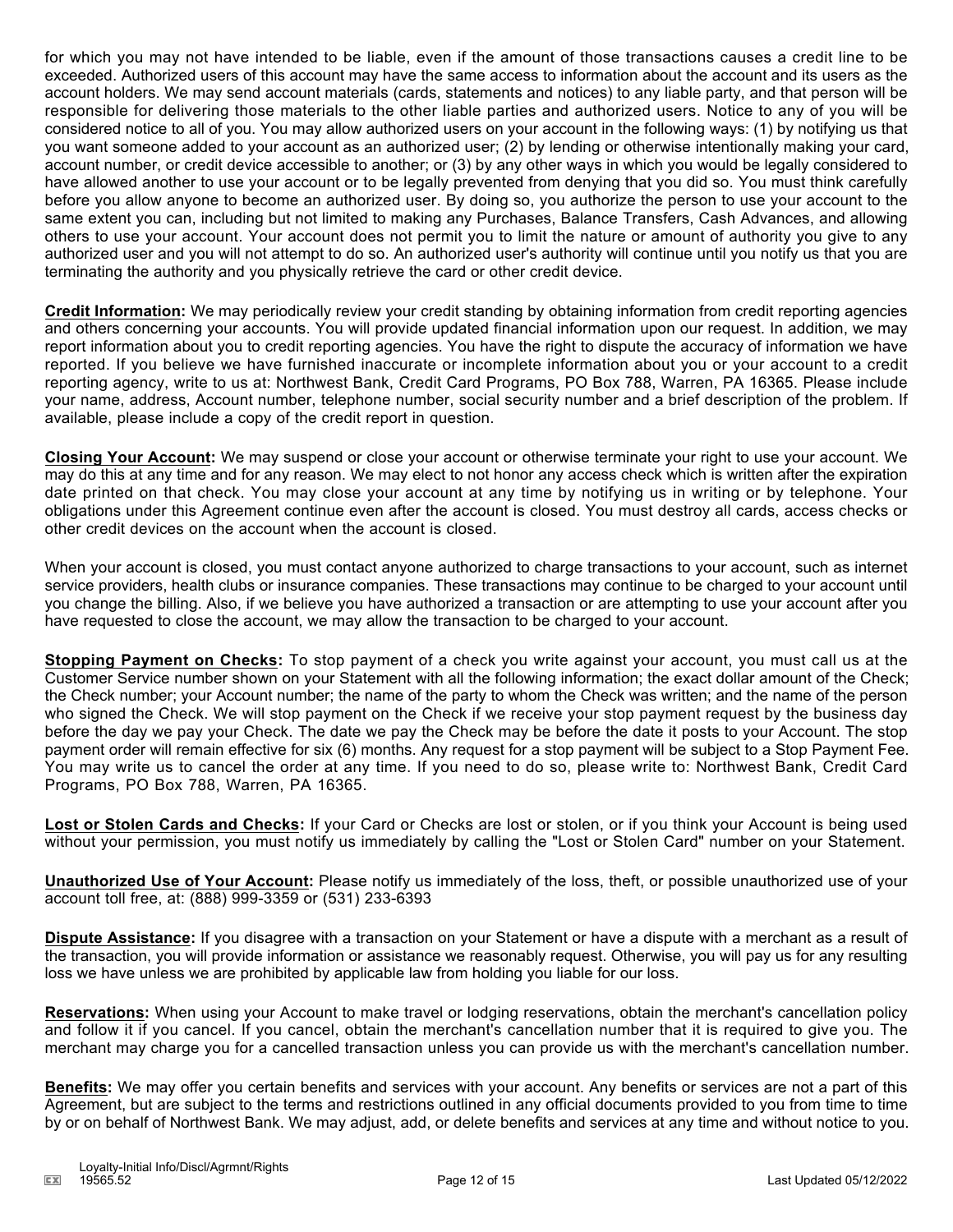for which you may not have intended to be liable, even if the amount of those transactions causes a credit line to be exceeded. Authorized users of this account may have the same access to information about the account and its users as the account holders. We may send account materials (cards, statements and notices) to any liable party, and that person will be responsible for delivering those materials to the other liable parties and authorized users. Notice to any of you will be considered notice to all of you. You may allow authorized users on your account in the following ways: (1) by notifying us that you want someone added to your account as an authorized user; (2) by lending or otherwise intentionally making your card, account number, or credit device accessible to another; or (3) by any other ways in which you would be legally considered to have allowed another to use your account or to be legally prevented from denying that you did so. You must think carefully before you allow anyone to become an authorized user. By doing so, you authorize the person to use your account to the same extent you can, including but not limited to making any Purchases, Balance Transfers, Cash Advances, and allowing others to use your account. Your account does not permit you to limit the nature or amount of authority you give to any authorized user and you will not attempt to do so. An authorized user's authority will continue until you notify us that you are terminating the authority and you physically retrieve the card or other credit device.

**Credit Information:** We may periodically review your credit standing by obtaining information from credit reporting agencies and others concerning your accounts. You will provide updated financial information upon our request. In addition, we may report information about you to credit reporting agencies. You have the right to dispute the accuracy of information we have reported. If you believe we have furnished inaccurate or incomplete information about you or your account to a credit reporting agency, write to us at: Northwest Bank, Credit Card Programs, PO Box 788, Warren, PA 16365. Please include your name, address, Account number, telephone number, social security number and a brief description of the problem. If available, please include a copy of the credit report in question.

**Closing Your Account:** We may suspend or close your account or otherwise terminate your right to use your account. We may do this at any time and for any reason. We may elect to not honor any access check which is written after the expiration date printed on that check. You may close your account at any time by notifying us in writing or by telephone. Your obligations under this Agreement continue even after the account is closed. You must destroy all cards, access checks or other credit devices on the account when the account is closed.

When your account is closed, you must contact anyone authorized to charge transactions to your account, such as internet service providers, health clubs or insurance companies. These transactions may continue to be charged to your account until you change the billing. Also, if we believe you have authorized a transaction or are attempting to use your account after you have requested to close the account, we may allow the transaction to be charged to your account.

**Stopping Payment on Checks:** To stop payment of a check you write against your account, you must call us at the Customer Service number shown on your Statement with all the following information; the exact dollar amount of the Check; the Check number; your Account number; the name of the party to whom the Check was written; and the name of the person who signed the Check. We will stop payment on the Check if we receive your stop payment request by the business day before the day we pay your Check. The date we pay the Check may be before the date it posts to your Account. The stop payment order will remain effective for six (6) months. Any request for a stop payment will be subject to a Stop Payment Fee. You may write us to cancel the order at any time. If you need to do so, please write to: Northwest Bank, Credit Card Programs, PO Box 788, Warren, PA 16365.

**Lost or Stolen Cards and Checks:** If your Card or Checks are lost or stolen, or if you think your Account is being used without your permission, you must notify us immediately by calling the "Lost or Stolen Card" number on your Statement.

**Unauthorized Use of Your Account:** Please notify us immediately of the loss, theft, or possible unauthorized use of your account toll free, at: (888) 999-3359 or (531) 233-6393

**Dispute Assistance:** If you disagree with a transaction on your Statement or have a dispute with a merchant as a result of the transaction, you will provide information or assistance we reasonably request. Otherwise, you will pay us for any resulting loss we have unless we are prohibited by applicable law from holding you liable for our loss.

**Reservations:** When using your Account to make travel or lodging reservations, obtain the merchant's cancellation policy and follow it if you cancel. If you cancel, obtain the merchant's cancellation number that it is required to give you. The merchant may charge you for a cancelled transaction unless you can provide us with the merchant's cancellation number.

**Benefits:** We may offer you certain benefits and services with your account. Any benefits or services are not a part of this Agreement, but are subject to the terms and restrictions outlined in any official documents provided to you from time to time by or on behalf of Northwest Bank. We may adjust, add, or delete benefits and services at any time and without notice to you.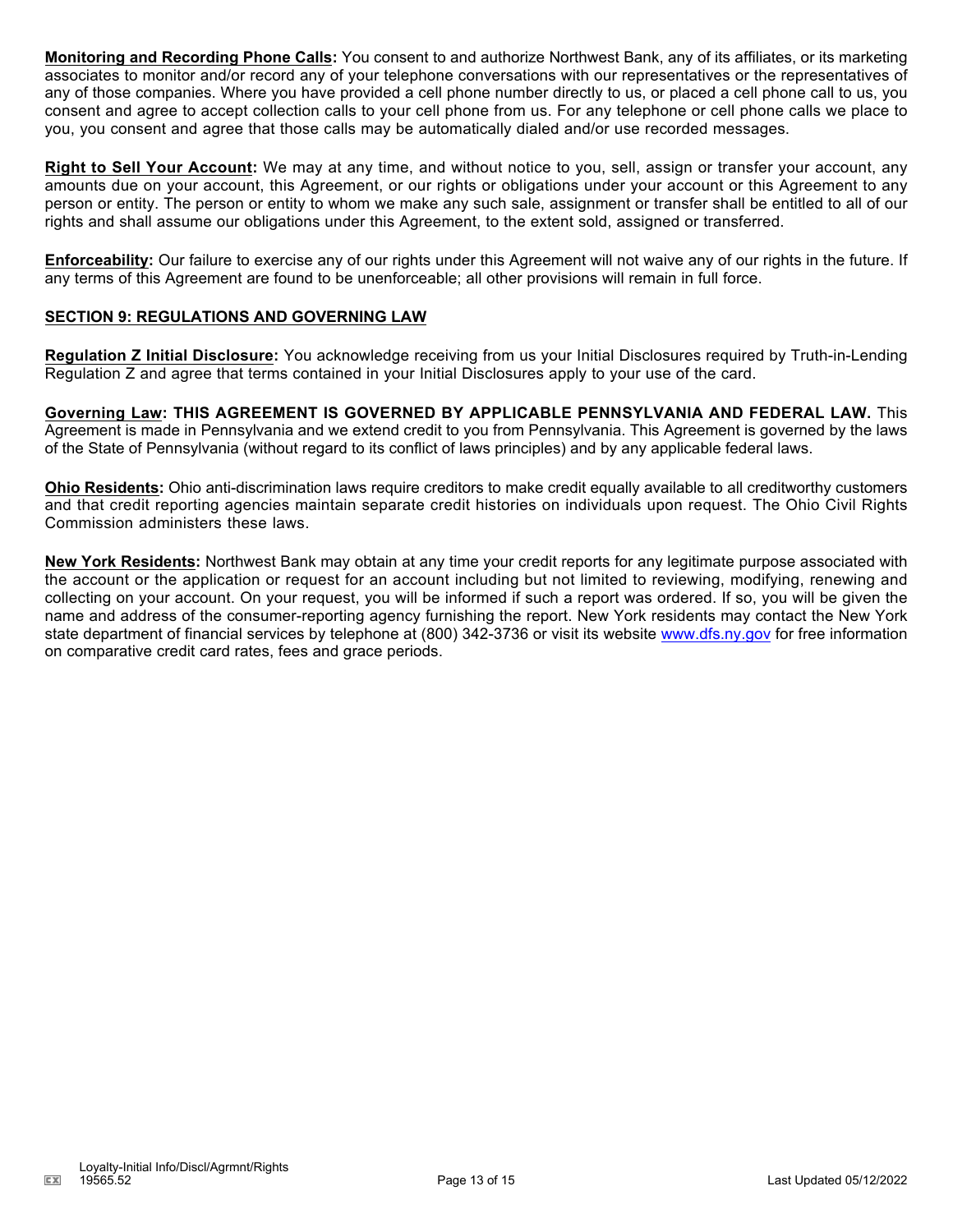**Monitoring and Recording Phone Calls:** You consent to and authorize Northwest Bank, any of its affiliates, or its marketing associates to monitor and/or record any of your telephone conversations with our representatives or the representatives of any of those companies. Where you have provided a cell phone number directly to us, or placed a cell phone call to us, you consent and agree to accept collection calls to your cell phone from us. For any telephone or cell phone calls we place to you, you consent and agree that those calls may be automatically dialed and/or use recorded messages.

**Right to Sell Your Account:** We may at any time, and without notice to you, sell, assign or transfer your account, any amounts due on your account, this Agreement, or our rights or obligations under your account or this Agreement to any person or entity. The person or entity to whom we make any such sale, assignment or transfer shall be entitled to all of our rights and shall assume our obligations under this Agreement, to the extent sold, assigned or transferred.

**Enforceability:** Our failure to exercise any of our rights under this Agreement will not waive any of our rights in the future. If any terms of this Agreement are found to be unenforceable; all other provisions will remain in full force.

# **SECTION 9: REGULATIONS AND GOVERNING LAW**

**Regulation Z Initial Disclosure:** You acknowledge receiving from us your Initial Disclosures required by Truth-in-Lending Regulation Z and agree that terms contained in your Initial Disclosures apply to your use of the card.

**Governing Law: THIS AGREEMENT IS GOVERNED BY APPLICABLE PENNSYLVANIA AND FEDERAL LAW.** This Agreement is made in Pennsylvania and we extend credit to you from Pennsylvania. This Agreement is governed by the laws of the State of Pennsylvania (without regard to its conflict of laws principles) and by any applicable federal laws.

**Ohio Residents:** Ohio anti-discrimination laws require creditors to make credit equally available to all creditworthy customers and that credit reporting agencies maintain separate credit histories on individuals upon request. The Ohio Civil Rights Commission administers these laws.

**New York Residents:** Northwest Bank may obtain at any time your credit reports for any legitimate purpose associated with the account or the application or request for an account including but not limited to reviewing, modifying, renewing and collecting on your account. On your request, you will be informed if such a report was ordered. If so, you will be given the name and address of the consumer-reporting agency furnishing the report. New York residents may contact the New York state department of financial services by telephone at (800) 342-3736 or visit its website www.dfs.ny.gov for free information on comparative credit card rates, fees and grace periods.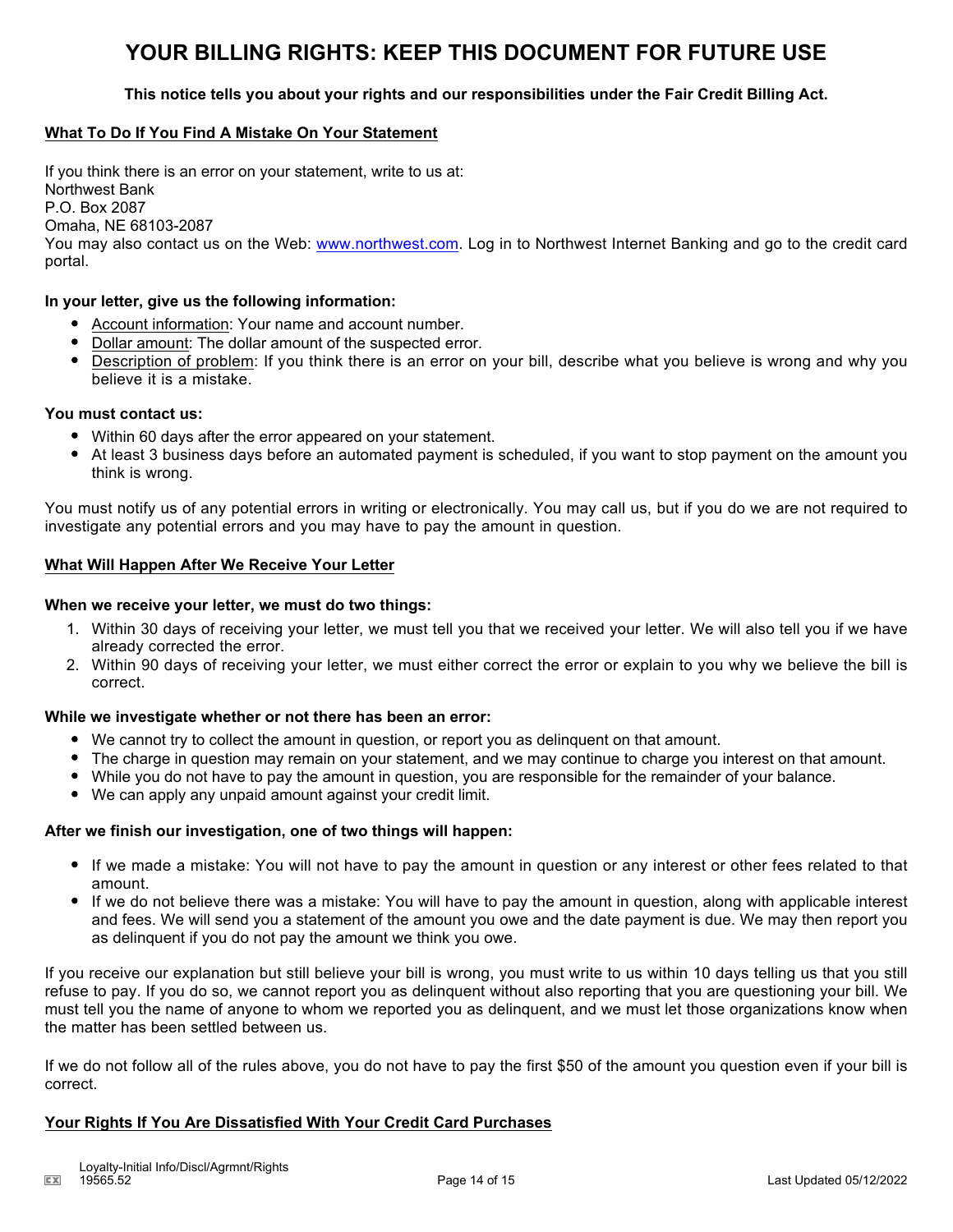# **YOUR BILLING RIGHTS: KEEP THIS DOCUMENT FOR FUTURE USE**

# **This notice tells you about your rights and our responsibilities under the Fair Credit Billing Act.**

## **What To Do If You Find A Mistake On Your Statement**

If you think there is an error on your statement, write to us at: Northwest Bank P.O. Box 2087 Omaha, NE 68103-2087 You may also contact us on the Web: www.northwest.com. Log in to Northwest Internet Banking and go to the credit card portal.

#### **In your letter, give us the following information:**

- Account information: Your name and account number.
- Dollar amount: The dollar amount of the suspected error.
- Description of problem: If you think there is an error on your bill, describe what you believe is wrong and why you believe it is a mistake.

#### **You must contact us:**

- Within 60 days after the error appeared on your statement.
- At least 3 business days before an automated payment is scheduled, if you want to stop payment on the amount you think is wrong.

You must notify us of any potential errors in writing or electronically. You may call us, but if you do we are not required to investigate any potential errors and you may have to pay the amount in question.

#### **What Will Happen After We Receive Your Letter**

#### **When we receive your letter, we must do two things:**

- 1. Within 30 days of receiving your letter, we must tell you that we received your letter. We will also tell you if we have already corrected the error.
- 2. Within 90 days of receiving your letter, we must either correct the error or explain to you why we believe the bill is correct.

#### **While we investigate whether or not there has been an error:**

- We cannot try to collect the amount in question, or report you as delinquent on that amount.
- The charge in question may remain on your statement, and we may continue to charge you interest on that amount.
- While you do not have to pay the amount in question, you are responsible for the remainder of your balance.
- We can apply any unpaid amount against your credit limit.

#### **After we finish our investigation, one of two things will happen:**

- If we made a mistake: You will not have to pay the amount in question or any interest or other fees related to that amount.
- If we do not believe there was a mistake: You will have to pay the amount in question, along with applicable interest and fees. We will send you a statement of the amount you owe and the date payment is due. We may then report you as delinquent if you do not pay the amount we think you owe.

If you receive our explanation but still believe your bill is wrong, you must write to us within 10 days telling us that you still refuse to pay. If you do so, we cannot report you as delinquent without also reporting that you are questioning your bill. We must tell you the name of anyone to whom we reported you as delinquent, and we must let those organizations know when the matter has been settled between us.

If we do not follow all of the rules above, you do not have to pay the first \$50 of the amount you question even if your bill is correct.

#### **Your Rights If You Are Dissatisfied With Your Credit Card Purchases**